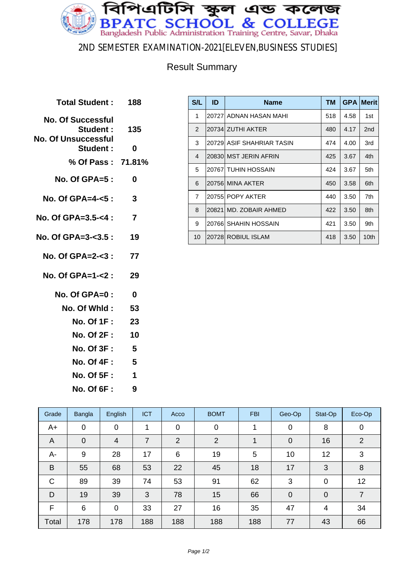

### 2ND SEMESTER EXAMINATION-2021[ELEVEN,BUSINESS STUDIES]

### Result Summary

**Total Student : 188 No. Of Successful Student : 135 No. Of Unsuccessful Student : 0 % Of Pass : 71.81% No. Of GPA=5 : 0 No. Of GPA=4-<5 : 3 No. Of GPA=3.5-<4 : 7 No. Of GPA=3-<3.5 : 19 No. Of GPA=2-<3 : 77 No. Of GPA=1-<2 : 29 No. Of GPA=0 : 0 No. Of Whld : 53 No. Of 1F : 23 No. Of 2F : 10 No. Of 3F : 5 No. Of 4F : 5 No. Of 5F : 1 No. Of 6F : 9**

| S/L            | ID | <b>Name</b>               | <b>TM</b> |      | <b>GPA Merit</b> |
|----------------|----|---------------------------|-----------|------|------------------|
| 1              |    | 20727 ADNAN HASAN MAHI    | 518       | 4.58 | 1st              |
| $\mathcal{P}$  |    | 20734 ZUTHI AKTER         | 480       | 4.17 | 2 <sub>nd</sub>  |
| 3              |    | 20729 ASIF SHAHRIAR TASIN | 474       | 4.00 | 3rd              |
| $\overline{4}$ |    | 20830 MST JERIN AFRIN     | 425       | 3.67 | 4th              |
| 5              |    | 20767 TUHIN HOSSAIN       | 424       | 3.67 | 5th              |
| 6              |    | 20756 MINA AKTER          | 450       | 3.58 | 6th              |
| $\overline{7}$ |    | 20755 POPY AKTER          | 440       | 3.50 | 7th              |
| 8              |    | 20821 MD, ZOBAIR AHMED    | 422       | 3.50 | 8th              |
| 9              |    | 20766 SHAHIN HOSSAIN      | 421       | 3.50 | 9th              |
| 10             |    | 20728 ROBIUL ISLAM        | 418       | 3.50 | 10th             |

| Grade        | Bangla      | English        | <b>ICT</b> | Acco           | <b>BOMT</b> | <b>FBI</b> | Geo-Op         | Stat-Op        | Eco-Op         |
|--------------|-------------|----------------|------------|----------------|-------------|------------|----------------|----------------|----------------|
| A+           | $\mathbf 0$ | $\mathbf 0$    | 1          | $\mathbf 0$    | $\mathbf 0$ |            | 0              | 8              | 0              |
| A            | $\mathbf 0$ | $\overline{4}$ | 7          | $\overline{2}$ | 2           |            | $\overline{0}$ | 16             | 2              |
| A-           | 9           | 28             | 17         | 6              | 19          | 5          | 10             | 12             | 3              |
| B            | 55          | 68             | 53         | 22             | 45          | 18         | 17             | 3              | 8              |
| $\mathsf{C}$ | 89          | 39             | 74         | 53             | 91          | 62         | 3              | $\overline{0}$ | 12             |
| D            | 19          | 39             | 3          | 78             | 15          | 66         | $\mathbf 0$    | $\overline{0}$ | $\overline{7}$ |
| F            | 6           | 0              | 33         | 27             | 16          | 35         | 47             | 4              | 34             |
| Total        | 178         | 178            | 188        | 188            | 188         | 188        | 77             | 43             | 66             |